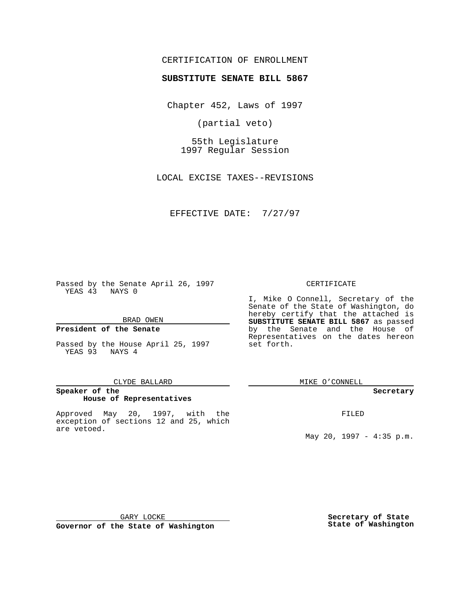## CERTIFICATION OF ENROLLMENT

# **SUBSTITUTE SENATE BILL 5867**

Chapter 452, Laws of 1997

(partial veto)

55th Legislature 1997 Regular Session

LOCAL EXCISE TAXES--REVISIONS

EFFECTIVE DATE: 7/27/97

Passed by the Senate April 26, 1997 YEAS 43 NAYS 0

BRAD OWEN

### **President of the Senate**

Passed by the House April 25, 1997 YEAS 93 NAYS 4

#### CLYDE BALLARD

## **Speaker of the House of Representatives**

Approved May 20, 1997, with the exception of sections 12 and 25, which are vetoed.

#### CERTIFICATE

I, Mike O Connell, Secretary of the Senate of the State of Washington, do hereby certify that the attached is **SUBSTITUTE SENATE BILL 5867** as passed by the Senate and the House of Representatives on the dates hereon set forth.

MIKE O'CONNELL

#### **Secretary**

FILED

May 20, 1997 - 4:35 p.m.

GARY LOCKE

**Governor of the State of Washington**

**Secretary of State State of Washington**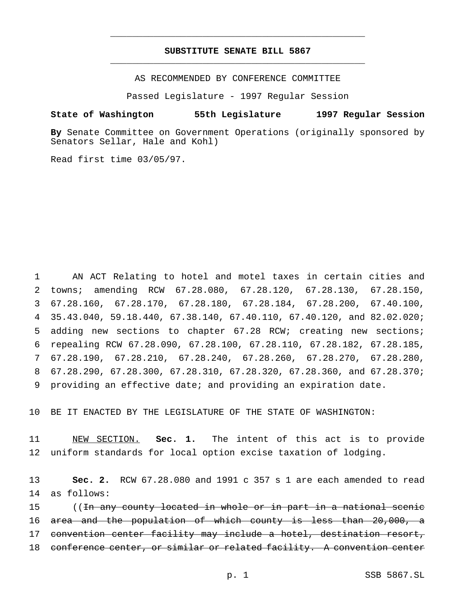## **SUBSTITUTE SENATE BILL 5867** \_\_\_\_\_\_\_\_\_\_\_\_\_\_\_\_\_\_\_\_\_\_\_\_\_\_\_\_\_\_\_\_\_\_\_\_\_\_\_\_\_\_\_\_\_\_\_

\_\_\_\_\_\_\_\_\_\_\_\_\_\_\_\_\_\_\_\_\_\_\_\_\_\_\_\_\_\_\_\_\_\_\_\_\_\_\_\_\_\_\_\_\_\_\_

AS RECOMMENDED BY CONFERENCE COMMITTEE

Passed Legislature - 1997 Regular Session

### **State of Washington 55th Legislature 1997 Regular Session**

**By** Senate Committee on Government Operations (originally sponsored by Senators Sellar, Hale and Kohl)

Read first time 03/05/97.

 AN ACT Relating to hotel and motel taxes in certain cities and towns; amending RCW 67.28.080, 67.28.120, 67.28.130, 67.28.150, 67.28.160, 67.28.170, 67.28.180, 67.28.184, 67.28.200, 67.40.100, 35.43.040, 59.18.440, 67.38.140, 67.40.110, 67.40.120, and 82.02.020; adding new sections to chapter 67.28 RCW; creating new sections; repealing RCW 67.28.090, 67.28.100, 67.28.110, 67.28.182, 67.28.185, 67.28.190, 67.28.210, 67.28.240, 67.28.260, 67.28.270, 67.28.280, 67.28.290, 67.28.300, 67.28.310, 67.28.320, 67.28.360, and 67.28.370; providing an effective date; and providing an expiration date.

10 BE IT ENACTED BY THE LEGISLATURE OF THE STATE OF WASHINGTON:

11 NEW SECTION. **Sec. 1.** The intent of this act is to provide 12 uniform standards for local option excise taxation of lodging.

13 **Sec. 2.** RCW 67.28.080 and 1991 c 357 s 1 are each amended to read 14 as follows:

15 ((In any county located in whole or in part in a national scenic 16 area and the population of which county is less than 20,000, a 17 convention center facility may include a hotel, destination resort, 18 conference center, or similar or related facility. A convention center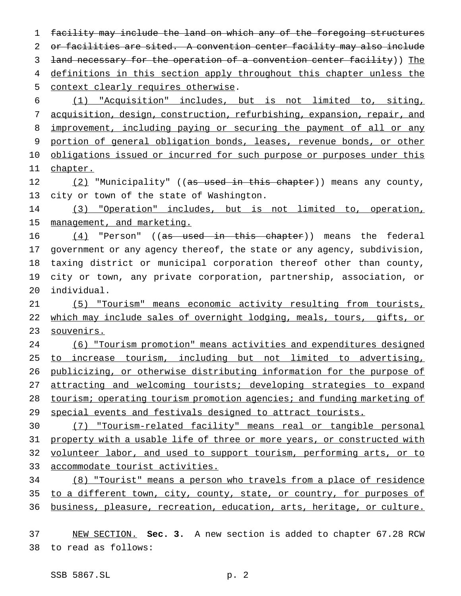facility may include the land on which any of the foregoing structures 2 or facilities are sited. A convention center facility may also include land necessary for the operation of a convention center facility)) The 4 definitions in this section apply throughout this chapter unless the context clearly requires otherwise. (1) "Acquisition" includes, but is not limited to, siting, acquisition, design, construction, refurbishing, expansion, repair, and 8 improvement, including paying or securing the payment of all or any portion of general obligation bonds, leases, revenue bonds, or other 10 obligations issued or incurred for such purpose or purposes under this 11 chapter. 12 (2) "Municipality" ((as used in this chapter)) means any county, city or town of the state of Washington. (3) "Operation" includes, but is not limited to, operation, 15 management, and marketing. 16 (4) "Person" ((as used in this chapter)) means the federal government or any agency thereof, the state or any agency, subdivision, taxing district or municipal corporation thereof other than county, city or town, any private corporation, partnership, association, or individual. (5) "Tourism" means economic activity resulting from tourists, 22 which may include sales of overnight lodging, meals, tours, gifts, or souvenirs. (6) "Tourism promotion" means activities and expenditures designed to increase tourism, including but not limited to advertising, publicizing, or otherwise distributing information for the purpose of attracting and welcoming tourists; developing strategies to expand tourism; operating tourism promotion agencies; and funding marketing of 29 special events and festivals designed to attract tourists. (7) "Tourism-related facility" means real or tangible personal property with a usable life of three or more years, or constructed with volunteer labor, and used to support tourism, performing arts, or to accommodate tourist activities. (8) "Tourist" means a person who travels from a place of residence to a different town, city, county, state, or country, for purposes of business, pleasure, recreation, education, arts, heritage, or culture. NEW SECTION. **Sec. 3.** A new section is added to chapter 67.28 RCW

to read as follows: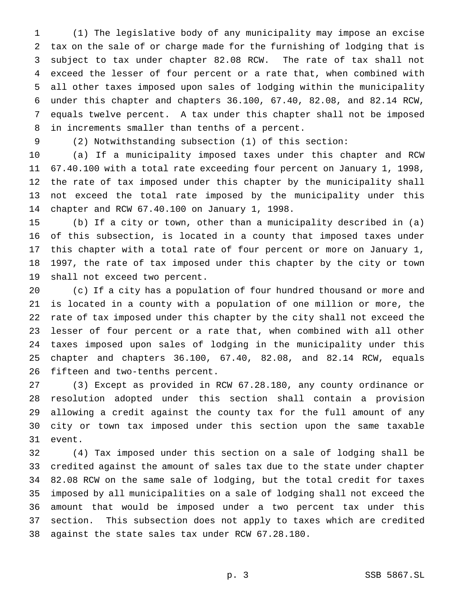(1) The legislative body of any municipality may impose an excise tax on the sale of or charge made for the furnishing of lodging that is subject to tax under chapter 82.08 RCW. The rate of tax shall not exceed the lesser of four percent or a rate that, when combined with all other taxes imposed upon sales of lodging within the municipality under this chapter and chapters 36.100, 67.40, 82.08, and 82.14 RCW, equals twelve percent. A tax under this chapter shall not be imposed in increments smaller than tenths of a percent.

(2) Notwithstanding subsection (1) of this section:

 (a) If a municipality imposed taxes under this chapter and RCW 67.40.100 with a total rate exceeding four percent on January 1, 1998, the rate of tax imposed under this chapter by the municipality shall not exceed the total rate imposed by the municipality under this chapter and RCW 67.40.100 on January 1, 1998.

 (b) If a city or town, other than a municipality described in (a) of this subsection, is located in a county that imposed taxes under this chapter with a total rate of four percent or more on January 1, 1997, the rate of tax imposed under this chapter by the city or town shall not exceed two percent.

 (c) If a city has a population of four hundred thousand or more and is located in a county with a population of one million or more, the rate of tax imposed under this chapter by the city shall not exceed the lesser of four percent or a rate that, when combined with all other taxes imposed upon sales of lodging in the municipality under this chapter and chapters 36.100, 67.40, 82.08, and 82.14 RCW, equals fifteen and two-tenths percent.

 (3) Except as provided in RCW 67.28.180, any county ordinance or resolution adopted under this section shall contain a provision allowing a credit against the county tax for the full amount of any city or town tax imposed under this section upon the same taxable event.

 (4) Tax imposed under this section on a sale of lodging shall be credited against the amount of sales tax due to the state under chapter 82.08 RCW on the same sale of lodging, but the total credit for taxes imposed by all municipalities on a sale of lodging shall not exceed the amount that would be imposed under a two percent tax under this section. This subsection does not apply to taxes which are credited against the state sales tax under RCW 67.28.180.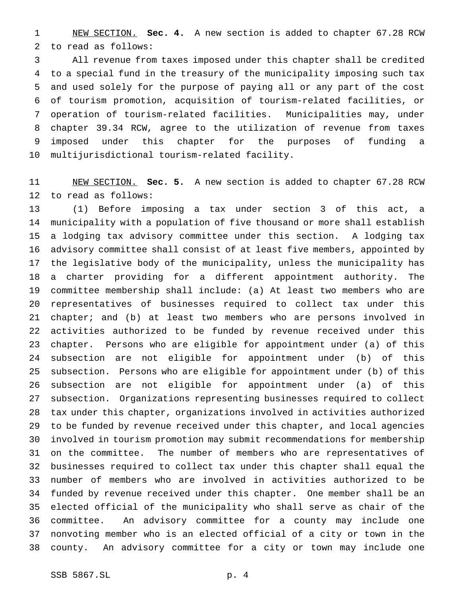NEW SECTION. **Sec. 4.** A new section is added to chapter 67.28 RCW to read as follows:

 All revenue from taxes imposed under this chapter shall be credited to a special fund in the treasury of the municipality imposing such tax and used solely for the purpose of paying all or any part of the cost of tourism promotion, acquisition of tourism-related facilities, or operation of tourism-related facilities. Municipalities may, under chapter 39.34 RCW, agree to the utilization of revenue from taxes imposed under this chapter for the purposes of funding a multijurisdictional tourism-related facility.

 NEW SECTION. **Sec. 5.** A new section is added to chapter 67.28 RCW to read as follows:

 (1) Before imposing a tax under section 3 of this act, a municipality with a population of five thousand or more shall establish a lodging tax advisory committee under this section. A lodging tax advisory committee shall consist of at least five members, appointed by the legislative body of the municipality, unless the municipality has a charter providing for a different appointment authority. The committee membership shall include: (a) At least two members who are representatives of businesses required to collect tax under this chapter; and (b) at least two members who are persons involved in activities authorized to be funded by revenue received under this chapter. Persons who are eligible for appointment under (a) of this subsection are not eligible for appointment under (b) of this subsection. Persons who are eligible for appointment under (b) of this subsection are not eligible for appointment under (a) of this subsection. Organizations representing businesses required to collect tax under this chapter, organizations involved in activities authorized to be funded by revenue received under this chapter, and local agencies involved in tourism promotion may submit recommendations for membership on the committee. The number of members who are representatives of businesses required to collect tax under this chapter shall equal the number of members who are involved in activities authorized to be funded by revenue received under this chapter. One member shall be an elected official of the municipality who shall serve as chair of the committee. An advisory committee for a county may include one nonvoting member who is an elected official of a city or town in the county. An advisory committee for a city or town may include one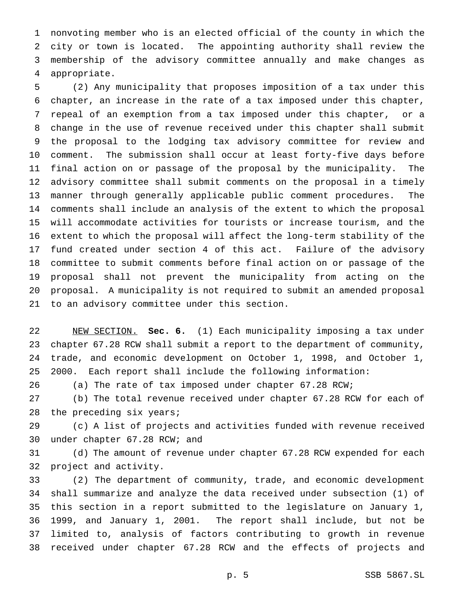nonvoting member who is an elected official of the county in which the city or town is located. The appointing authority shall review the membership of the advisory committee annually and make changes as appropriate.

 (2) Any municipality that proposes imposition of a tax under this chapter, an increase in the rate of a tax imposed under this chapter, repeal of an exemption from a tax imposed under this chapter, or a change in the use of revenue received under this chapter shall submit the proposal to the lodging tax advisory committee for review and comment. The submission shall occur at least forty-five days before final action on or passage of the proposal by the municipality. The advisory committee shall submit comments on the proposal in a timely manner through generally applicable public comment procedures. The comments shall include an analysis of the extent to which the proposal will accommodate activities for tourists or increase tourism, and the extent to which the proposal will affect the long-term stability of the fund created under section 4 of this act. Failure of the advisory committee to submit comments before final action on or passage of the proposal shall not prevent the municipality from acting on the proposal. A municipality is not required to submit an amended proposal to an advisory committee under this section.

 NEW SECTION. **Sec. 6.** (1) Each municipality imposing a tax under chapter 67.28 RCW shall submit a report to the department of community, trade, and economic development on October 1, 1998, and October 1, 2000. Each report shall include the following information:

(a) The rate of tax imposed under chapter 67.28 RCW;

 (b) The total revenue received under chapter 67.28 RCW for each of the preceding six years;

 (c) A list of projects and activities funded with revenue received under chapter 67.28 RCW; and

 (d) The amount of revenue under chapter 67.28 RCW expended for each project and activity.

 (2) The department of community, trade, and economic development shall summarize and analyze the data received under subsection (1) of this section in a report submitted to the legislature on January 1, 1999, and January 1, 2001. The report shall include, but not be limited to, analysis of factors contributing to growth in revenue received under chapter 67.28 RCW and the effects of projects and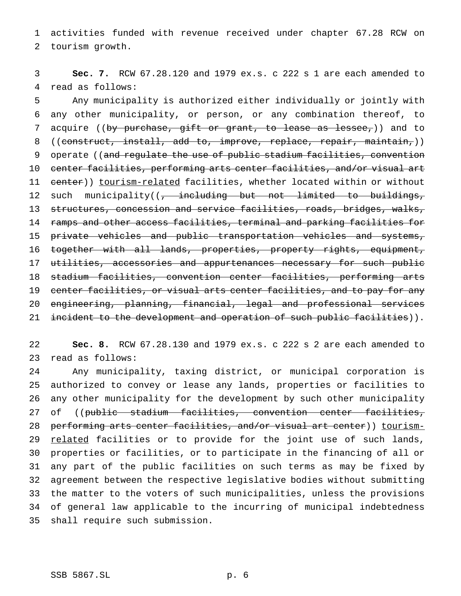activities funded with revenue received under chapter 67.28 RCW on tourism growth.

 **Sec. 7.** RCW 67.28.120 and 1979 ex.s. c 222 s 1 are each amended to read as follows:

 Any municipality is authorized either individually or jointly with any other municipality, or person, or any combination thereof, to 7 acquire ((by purchase, gift or grant, to lease as lessee,)) and to 8 ((construct, install, add to, improve, replace, repair, maintain,)) 9 operate ((and regulate the use of public stadium facilities, convention center facilities, performing arts center facilities, and/or visual art 11 center)) tourism-related facilities, whether located within or without 12 such municipality((, including but not limited to buildings, structures, concession and service facilities, roads, bridges, walks, ramps and other access facilities, terminal and parking facilities for private vehicles and public transportation vehicles and systems, 16 together with all lands, properties, property rights, equipment, 17 utilities, accessories and appurtenances necessary for such public stadium facilities, convention center facilities, performing arts center facilities, or visual arts center facilities, and to pay for any engineering, planning, financial, legal and professional services 21 incident to the development and operation of such public facilities)).

 **Sec. 8.** RCW 67.28.130 and 1979 ex.s. c 222 s 2 are each amended to read as follows:

 Any municipality, taxing district, or municipal corporation is authorized to convey or lease any lands, properties or facilities to any other municipality for the development by such other municipality 27 of ((public stadium facilities, convention center facilities, 28 performing arts center facilities, and/or visual art center)) tourism-29 related facilities or to provide for the joint use of such lands, properties or facilities, or to participate in the financing of all or any part of the public facilities on such terms as may be fixed by agreement between the respective legislative bodies without submitting the matter to the voters of such municipalities, unless the provisions of general law applicable to the incurring of municipal indebtedness shall require such submission.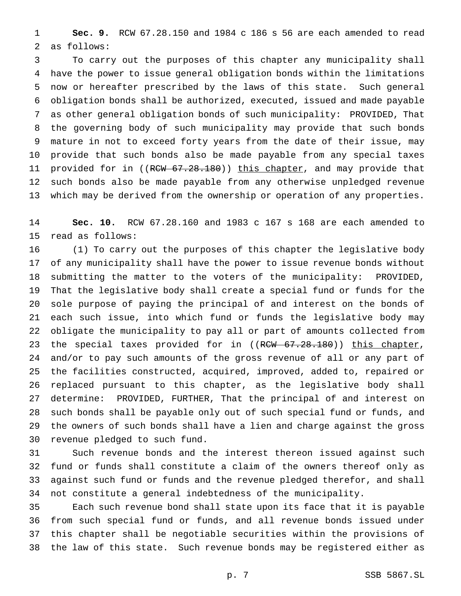**Sec. 9.** RCW 67.28.150 and 1984 c 186 s 56 are each amended to read as follows:

 To carry out the purposes of this chapter any municipality shall have the power to issue general obligation bonds within the limitations now or hereafter prescribed by the laws of this state. Such general obligation bonds shall be authorized, executed, issued and made payable as other general obligation bonds of such municipality: PROVIDED, That the governing body of such municipality may provide that such bonds mature in not to exceed forty years from the date of their issue, may provide that such bonds also be made payable from any special taxes 11 provided for in ((RCW 67.28.180)) this chapter, and may provide that such bonds also be made payable from any otherwise unpledged revenue which may be derived from the ownership or operation of any properties.

 **Sec. 10.** RCW 67.28.160 and 1983 c 167 s 168 are each amended to read as follows:

 (1) To carry out the purposes of this chapter the legislative body of any municipality shall have the power to issue revenue bonds without submitting the matter to the voters of the municipality: PROVIDED, That the legislative body shall create a special fund or funds for the sole purpose of paying the principal of and interest on the bonds of each such issue, into which fund or funds the legislative body may obligate the municipality to pay all or part of amounts collected from 23 the special taxes provided for in ((RCW 67.28.180)) this chapter, and/or to pay such amounts of the gross revenue of all or any part of the facilities constructed, acquired, improved, added to, repaired or replaced pursuant to this chapter, as the legislative body shall determine: PROVIDED, FURTHER, That the principal of and interest on such bonds shall be payable only out of such special fund or funds, and the owners of such bonds shall have a lien and charge against the gross revenue pledged to such fund.

 Such revenue bonds and the interest thereon issued against such fund or funds shall constitute a claim of the owners thereof only as against such fund or funds and the revenue pledged therefor, and shall not constitute a general indebtedness of the municipality.

 Each such revenue bond shall state upon its face that it is payable from such special fund or funds, and all revenue bonds issued under this chapter shall be negotiable securities within the provisions of the law of this state. Such revenue bonds may be registered either as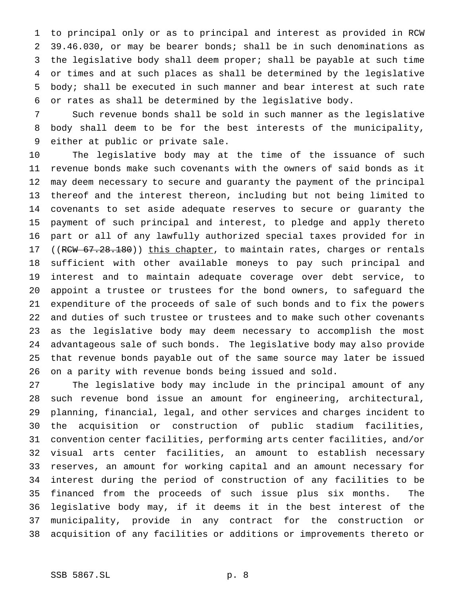to principal only or as to principal and interest as provided in RCW 39.46.030, or may be bearer bonds; shall be in such denominations as the legislative body shall deem proper; shall be payable at such time or times and at such places as shall be determined by the legislative body; shall be executed in such manner and bear interest at such rate or rates as shall be determined by the legislative body.

 Such revenue bonds shall be sold in such manner as the legislative body shall deem to be for the best interests of the municipality, either at public or private sale.

 The legislative body may at the time of the issuance of such revenue bonds make such covenants with the owners of said bonds as it may deem necessary to secure and guaranty the payment of the principal thereof and the interest thereon, including but not being limited to covenants to set aside adequate reserves to secure or guaranty the payment of such principal and interest, to pledge and apply thereto part or all of any lawfully authorized special taxes provided for in 17 ((RCW 67.28.180)) this chapter, to maintain rates, charges or rentals sufficient with other available moneys to pay such principal and interest and to maintain adequate coverage over debt service, to appoint a trustee or trustees for the bond owners, to safeguard the expenditure of the proceeds of sale of such bonds and to fix the powers and duties of such trustee or trustees and to make such other covenants as the legislative body may deem necessary to accomplish the most advantageous sale of such bonds. The legislative body may also provide that revenue bonds payable out of the same source may later be issued on a parity with revenue bonds being issued and sold.

 The legislative body may include in the principal amount of any such revenue bond issue an amount for engineering, architectural, planning, financial, legal, and other services and charges incident to the acquisition or construction of public stadium facilities, convention center facilities, performing arts center facilities, and/or visual arts center facilities, an amount to establish necessary reserves, an amount for working capital and an amount necessary for interest during the period of construction of any facilities to be financed from the proceeds of such issue plus six months. The legislative body may, if it deems it in the best interest of the municipality, provide in any contract for the construction or acquisition of any facilities or additions or improvements thereto or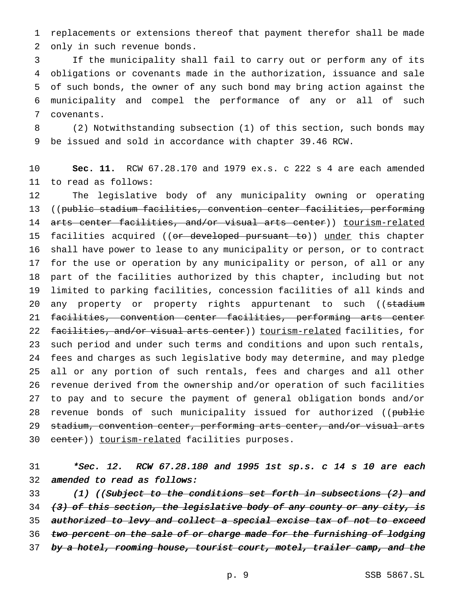replacements or extensions thereof that payment therefor shall be made only in such revenue bonds.

 If the municipality shall fail to carry out or perform any of its obligations or covenants made in the authorization, issuance and sale of such bonds, the owner of any such bond may bring action against the municipality and compel the performance of any or all of such covenants.

 (2) Notwithstanding subsection (1) of this section, such bonds may be issued and sold in accordance with chapter 39.46 RCW.

 **Sec. 11.** RCW 67.28.170 and 1979 ex.s. c 222 s 4 are each amended to read as follows:

 The legislative body of any municipality owning or operating ((public stadium facilities, convention center facilities, performing arts center facilities, and/or visual arts center)) tourism-related 15 facilities acquired ((or developed pursuant to)) under this chapter shall have power to lease to any municipality or person, or to contract for the use or operation by any municipality or person, of all or any part of the facilities authorized by this chapter, including but not limited to parking facilities, concession facilities of all kinds and 20 any property or property rights appurtenant to such ((stadium facilities, convention center facilities, performing arts center 22 facilities, and/or visual arts center)) tourism-related facilities, for such period and under such terms and conditions and upon such rentals, fees and charges as such legislative body may determine, and may pledge all or any portion of such rentals, fees and charges and all other revenue derived from the ownership and/or operation of such facilities to pay and to secure the payment of general obligation bonds and/or 28 revenue bonds of such municipality issued for authorized ((public stadium, convention center, performing arts center, and/or visual arts 30 center)) tourism-related facilities purposes.

 \*Sec. 12. RCW 67.28.180 and <sup>1995</sup> 1st sp.s. <sup>c</sup> <sup>14</sup> <sup>s</sup> <sup>10</sup> are each amended to read as follows:

33 (1) ((Subject to the conditions set forth in subsections (2) and 34 (3) of this section, the legislative body of any county or any city, is 35 authorized to levy and collect a special excise tax of not to exceed 36 two percent on the sale of or charge made for the furnishing of lodging 37 by a hotel, rooming house, tourist court, motel, trailer camp, and the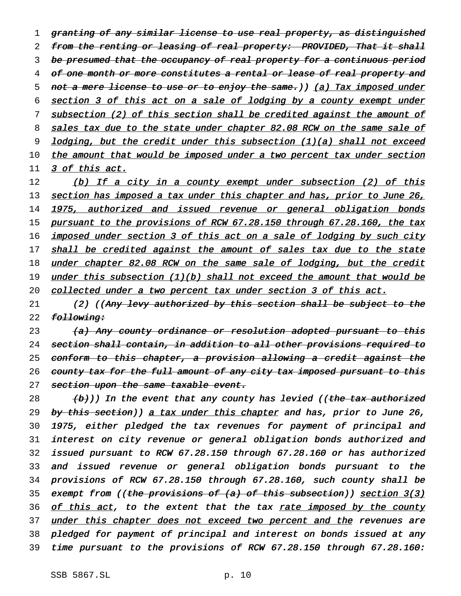1 granting of any similar license to use real property, as distinguished 2 from the renting or leasing of real property: PROVIDED, That it shall 3 be presumed that the occupancy of real property for a continuous period 4 of one month or more constitutes a rental or lease of real property and 5 not a mere license to use or to enjoy the same.)) (a) Tax imposed under 6 section 3 of this act on a sale of lodging by a county exempt under 7 subsection (2) of this section shall be credited against the amount of 8 sales tax due to the state under chapter 82.08 RCW on the same sale of 9 lodging, but the credit under this subsection (1)(a) shall not exceed 10 the amount that would be imposed under a two percent tax under section 11 3 of this act.

12 (b) If a city in a county exempt under subsection (2) of this 13 section has imposed a tax under this chapter and has, prior to June 26, 14 1975, authorized and issued revenue or general obligation bonds 15 pursuant to the provisions of RCW 67.28.150 through 67.28.160, the tax 16 imposed under section 3 of this act on a sale of lodging by such city 17 shall be credited against the amount of sales tax due to the state 18 <u>under chapter 82.08 RCW on the same sale of lodging, but the credit</u> 19 under this subsection (1)(b) shall not exceed the amount that would be 20 collected under a two percent tax under section 3 of this act.

21 (2) ((Any levy authorized by this section shall be subject to the 22 following:

23 (a) Any county ordinance or resolution adopted pursuant to this 24 section shall contain, in addition to all other provisions required to 25 conform to this chapter, a provision allowing a credit against the 26 county tax for the full amount of any city tax imposed pursuant to this 27 section upon the same taxable event.

 $\{b\})$  In the event that any county has levied ((the tax authorized 29 by this section)) a tax under this chapter and has, prior to June 26, 1975, either pledged the tax revenues for payment of principal and interest on city revenue or general obligation bonds authorized and issued pursuant to RCW 67.28.150 through 67.28.160 or has authorized and issued revenue or general obligation bonds pursuant to the provisions of RCW 67.28.150 through 67.28.160, such county shall be 35 exempt from ((the provisions of (a) of this subsection)) section 3(3) 36 <u>of this act</u>, to the extent that the tax rate imposed by the county 37 under this chapter does not exceed two percent and the revenues are pledged for payment of principal and interest on bonds issued at any time pursuant to the provisions of RCW 67.28.150 through 67.28.160: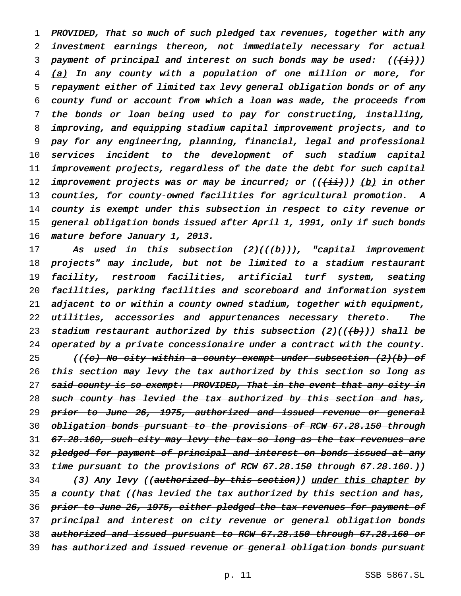PROVIDED, That so much of such pledged tax revenues, together with any investment earnings thereon, not immediately necessary for actual 3 payment of principal and interest on such bonds may be used:  $((\n{t}^i)(\n)$  (a) In any county with a population of one million or more, for repayment either of limited tax levy general obligation bonds or of any county fund or account from which <sup>a</sup> loan was made, the proceeds from the bonds or loan being used to pay for constructing, installing, improving, and equipping stadium capital improvement projects, and to pay for any engineering, planning, financial, legal and professional services incident to the development of such stadium capital improvement projects, regardless of the date the debt for such capital 12 improvement projects was or may be incurred; or  $((\overrightarrow{iii})))$  (b) in other counties, for county-owned facilities for agricultural promotion. <sup>A</sup> county is exempt under this subsection in respect to city revenue or general obligation bonds issued after April 1, 1991, only if such bonds mature before January 1, 2013.

17 As used in this subsection  $(2)((\{\pm b\}))$ , "capital improvement 18 projects" may include, but not be limited to <sup>a</sup> stadium restaurant 19 facility, restroom facilities, artificial turf system, seating 20 facilities, parking facilities and scoreboard and information system 21 adjacent to or within <sup>a</sup> county owned stadium, together with equipment, 22 utilities, accessories and appurtenances necessary thereto. The 23 stadium restaurant authorized by this subsection  $(2)((+b))$  shall be 24 operated by <sup>a</sup> private concessionaire under <sup>a</sup> contract with the county. 25 ((<del>(c) No city within a county exempt under subsection (2)(b) of</del> 26 this section may levy the tax authorized by this section so long as 27 said county is so exempt: PROVIDED, That in the event that any city in 28 such county has levied the tax authorized by this section and has, 29 prior to June 26, 1975, authorized and issued revenue or general 30 obligation bonds pursuant to the provisions of RCW 67.28.150 through 31 67.28.160, such city may levy the tax so long as the tax revenues are 32 p<del>ledged for payment of principal and interest on bonds issued at any</del> 33 t<del>ime pursuant to the provisions of RCW 67.28.150 through 67.28.160.</del>)) 34 (3) Any levy ((authorized by this section)) under this chapter by 35 a county that ((has levied the tax authorized by this section and has, 36 prior to June 26, 1975, either pledged the tax revenues for payment of 37 principal and interest on city revenue or general obligation bonds 38 authorized and issued pursuant to RCW 67.28.150 through 67.28.160 or 39 has authorized and issued revenue or general obligation bonds pursuant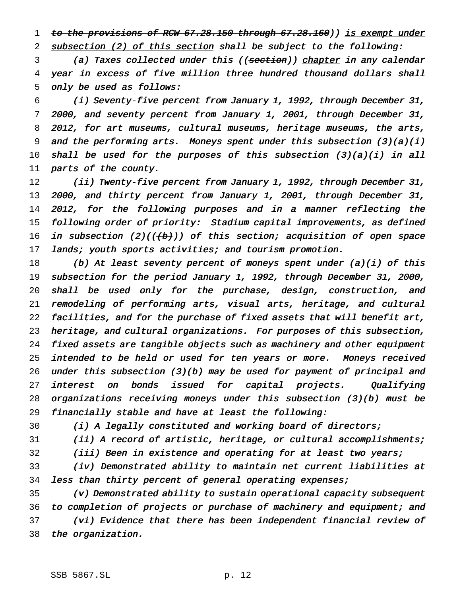1 to the provisions of RCW 67.28.150 through 67.28.160)) is exempt under 2 subsection (2) of this section shall be subject to the following:

3 (a) Taxes collected under this ((section)) chapter in any calendar year in excess of five million three hundred thousand dollars shall only be used as follows:

 (i) Seventy-five percent from January 1, 1992, through December 31, 2000, and seventy percent from January 1, 2001, through December 31, 8 2012, for art museums, cultural museums, heritage museums, the arts, and the performing arts. Moneys spent under this subsection (3)(a)(i) 10 shall be used for the purposes of this subsection  $(3)(a)(i)$  in all parts of the county.

 (ii) Twenty-five percent from January 1, 1992, through December 31, 2000, and thirty percent from January 1, 2001, through December 31, 2012, for the following purposes and in <sup>a</sup> manner reflecting the following order of priority: Stadium capital improvements, as defined 16 in subsection  $(2)((+b))$  of this section; acquisition of open space 17 lands; youth sports activities; and tourism promotion.

 (b) At least seventy percent of moneys spent under (a)(i) of this subsection for the period January 1, 1992, through December 31, 2000, shall be used only for the purchase, design, construction, and remodeling of performing arts, visual arts, heritage, and cultural facilities, and for the purchase of fixed assets that will benefit art, heritage, and cultural organizations. For purposes of this subsection, fixed assets are tangible objects such as machinery and other equipment 25 intended to be held or used for ten years or more. Moneys received under this subsection (3)(b) may be used for payment of principal and interest on bonds issued for capital projects. Qualifying organizations receiving moneys under this subsection (3)(b) must be financially stable and have at least the following:

(i) <sup>A</sup> legally constituted and working board of directors;

 (ii) <sup>A</sup> record of artistic, heritage, or cultural accomplishments; (iii) Been in existence and operating for at least two years;

 (iv) Demonstrated ability to maintain net current liabilities at less than thirty percent of general operating expenses;

 (v) Demonstrated ability to sustain operational capacity subsequent to completion of projects or purchase of machinery and equipment; and (vi) Evidence that there has been independent financial review of the organization.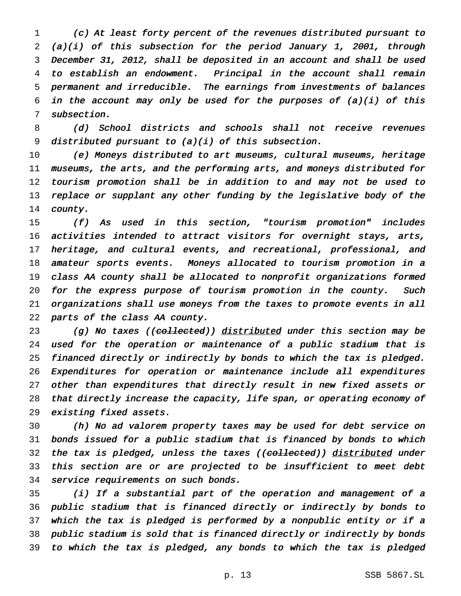(c) At least forty percent of the revenues distributed pursuant to (a)(i) of this subsection for the period January 1, 2001, through December 31, 2012, shall be deposited in an account and shall be used to establish an endowment. Principal in the account shall remain permanent and irreducible. The earnings from investments of balances 6 in the account may only be used for the purposes of  $(a)(i)$  of this subsection.

8 (d) School districts and schools shall not receive revenues 9 distributed pursuant to  $(a)(i)$  of this subsection.

 (e) Moneys distributed to art museums, cultural museums, heritage museums, the arts, and the performing arts, and moneys distributed for tourism promotion shall be in addition to and may not be used to 13 replace or supplant any other funding by the legislative body of the county.

 (f) As used in this section, "tourism promotion" includes activities intended to attract visitors for overnight stays, arts, 17 heritage, and cultural events, and recreational, professional, and amateur sports events. Moneys allocated to tourism promotion in <sup>a</sup> class AA county shall be allocated to nonprofit organizations formed for the express purpose of tourism promotion in the county. Such organizations shall use moneys from the taxes to promote events in all parts of the class AA county.

23 (g) No taxes ((collected)) distributed under this section may be used for the operation or maintenance of <sup>a</sup> public stadium that is financed directly or indirectly by bonds to which the tax is pledged. Expenditures for operation or maintenance include all expenditures other than expenditures that directly result in new fixed assets or that directly increase the capacity, life span, or operating economy of existing fixed assets.

 (h) No ad valorem property taxes may be used for debt service on bonds issued for <sup>a</sup> public stadium that is financed by bonds to which 32 the tax is pledged, unless the taxes ((co<del>llected</del>)) distributed under this section are or are projected to be insufficient to meet debt service requirements on such bonds.

 (i) If <sup>a</sup> substantial part of the operation and management of <sup>a</sup> public stadium that is financed directly or indirectly by bonds to which the tax is pledged is performed by <sup>a</sup> nonpublic entity or if <sup>a</sup> public stadium is sold that is financed directly or indirectly by bonds to which the tax is pledged, any bonds to which the tax is pledged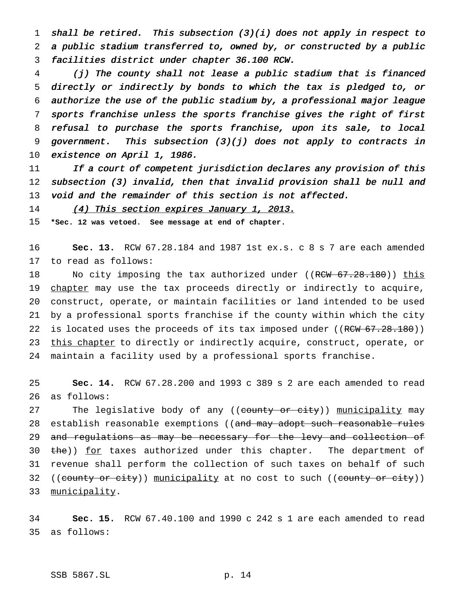shall be retired. This subsection (3)(i) does not apply in respect to <sup>a</sup> public stadium transferred to, owned by, or constructed by <sup>a</sup> public facilities district under chapter 36.100 RCW.

 (j) The county shall not lease <sup>a</sup> public stadium that is financed directly or indirectly by bonds to which the tax is pledged to, or authorize the use of the public stadium by, <sup>a</sup> professional major league sports franchise unless the sports franchise gives the right of first refusal to purchase the sports franchise, upon its sale, to local government. This subsection (3)(j) does not apply to contracts in existence on April 1, 1986.

11 If a court of competent jurisdiction declares any provision of this subsection (3) invalid, then that invalid provision shall be null and void and the remainder of this section is not affected.

14 (4) This section expires January 1, 2013.

**\*Sec. 12 was vetoed. See message at end of chapter.**

 **Sec. 13.** RCW 67.28.184 and 1987 1st ex.s. c 8 s 7 are each amended to read as follows:

18 No city imposing the tax authorized under ((RCW 67.28.180)) this 19 chapter may use the tax proceeds directly or indirectly to acquire, construct, operate, or maintain facilities or land intended to be used by a professional sports franchise if the county within which the city 22 is located uses the proceeds of its tax imposed under ((RCW 67.28.180)) 23 this chapter to directly or indirectly acquire, construct, operate, or maintain a facility used by a professional sports franchise.

 **Sec. 14.** RCW 67.28.200 and 1993 c 389 s 2 are each amended to read as follows:

27 The legislative body of any ((county or city)) municipality may 28 establish reasonable exemptions ((and may adopt such reasonable rules 29 and regulations as may be necessary for the levy and collection of 30 the)) for taxes authorized under this chapter. The department of revenue shall perform the collection of such taxes on behalf of such 32 ((county or city)) municipality at no cost to such ((county or city)) municipality.

 **Sec. 15.** RCW 67.40.100 and 1990 c 242 s 1 are each amended to read as follows: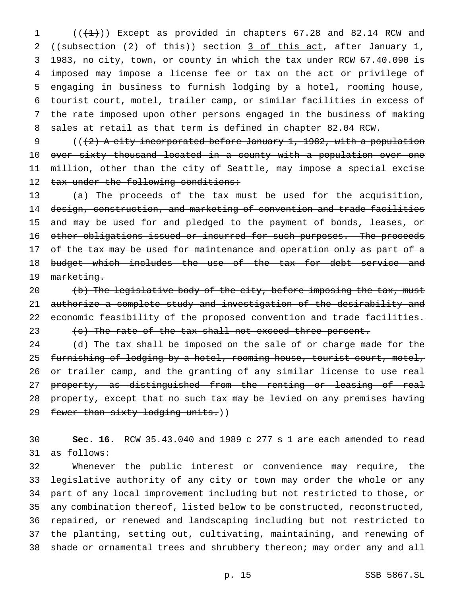$((+1))$  Except as provided in chapters 67.28 and 82.14 RCW and ((subsection (2) of this)) section 3 of this act, after January 1, 1983, no city, town, or county in which the tax under RCW 67.40.090 is imposed may impose a license fee or tax on the act or privilege of engaging in business to furnish lodging by a hotel, rooming house, tourist court, motel, trailer camp, or similar facilities in excess of the rate imposed upon other persons engaged in the business of making sales at retail as that term is defined in chapter 82.04 RCW.

9 (((2) A city incorporated before January 1, 1982, with a population over sixty thousand located in a county with a population over one million, other than the city of Seattle, may impose a special excise 12 tax under the following conditions:

 (a) The proceeds of the tax must be used for the acquisition, design, construction, and marketing of convention and trade facilities 15 and may be used for and pledged to the payment of bonds, leases, or 16 other obligations issued or incurred for such purposes. The proceeds 17 of the tax may be used for maintenance and operation only as part of a 18 budget which includes the use of the tax for debt service and 19 marketing.

 $\left(\mathrm{b}\right)$  The legislative body of the city, before imposing the tax, must authorize a complete study and investigation of the desirability and 22 economic feasibility of the proposed convention and trade facilities.  $(e)$  The rate of the tax shall not exceed three percent.

 $(d)$  The tax shall be imposed on the sale of or charge made for the 25 furnishing of lodging by a hotel, rooming house, tourist court, motel, or trailer camp, and the granting of any similar license to use real 27 property, as distinguished from the renting or leasing of real 28 property, except that no such tax may be levied on any premises having 29 fewer than sixty lodging units.))

 **Sec. 16.** RCW 35.43.040 and 1989 c 277 s 1 are each amended to read as follows:

 Whenever the public interest or convenience may require, the legislative authority of any city or town may order the whole or any part of any local improvement including but not restricted to those, or any combination thereof, listed below to be constructed, reconstructed, repaired, or renewed and landscaping including but not restricted to the planting, setting out, cultivating, maintaining, and renewing of shade or ornamental trees and shrubbery thereon; may order any and all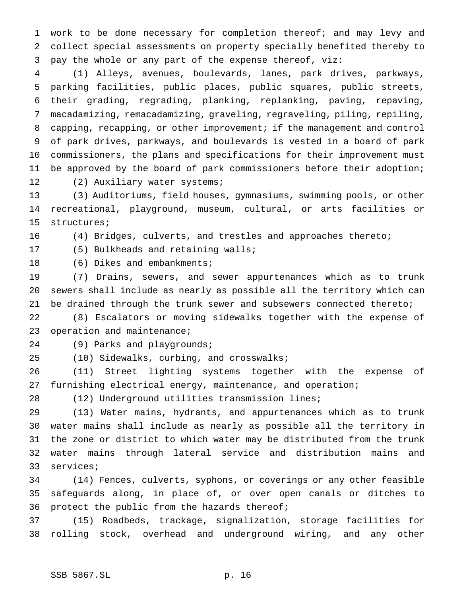work to be done necessary for completion thereof; and may levy and collect special assessments on property specially benefited thereby to pay the whole or any part of the expense thereof, viz:

 (1) Alleys, avenues, boulevards, lanes, park drives, parkways, parking facilities, public places, public squares, public streets, their grading, regrading, planking, replanking, paving, repaving, macadamizing, remacadamizing, graveling, regraveling, piling, repiling, capping, recapping, or other improvement; if the management and control of park drives, parkways, and boulevards is vested in a board of park commissioners, the plans and specifications for their improvement must be approved by the board of park commissioners before their adoption; 12 (2) Auxiliary water systems;

 (3) Auditoriums, field houses, gymnasiums, swimming pools, or other recreational, playground, museum, cultural, or arts facilities or structures;

(4) Bridges, culverts, and trestles and approaches thereto;

(5) Bulkheads and retaining walls;

18 (6) Dikes and embankments;

 (7) Drains, sewers, and sewer appurtenances which as to trunk sewers shall include as nearly as possible all the territory which can be drained through the trunk sewer and subsewers connected thereto;

 (8) Escalators or moving sidewalks together with the expense of 23 operation and maintenance;

(9) Parks and playgrounds;

(10) Sidewalks, curbing, and crosswalks;

 (11) Street lighting systems together with the expense of furnishing electrical energy, maintenance, and operation;

(12) Underground utilities transmission lines;

 (13) Water mains, hydrants, and appurtenances which as to trunk water mains shall include as nearly as possible all the territory in the zone or district to which water may be distributed from the trunk water mains through lateral service and distribution mains and services;

 (14) Fences, culverts, syphons, or coverings or any other feasible safeguards along, in place of, or over open canals or ditches to protect the public from the hazards thereof;

 (15) Roadbeds, trackage, signalization, storage facilities for rolling stock, overhead and underground wiring, and any other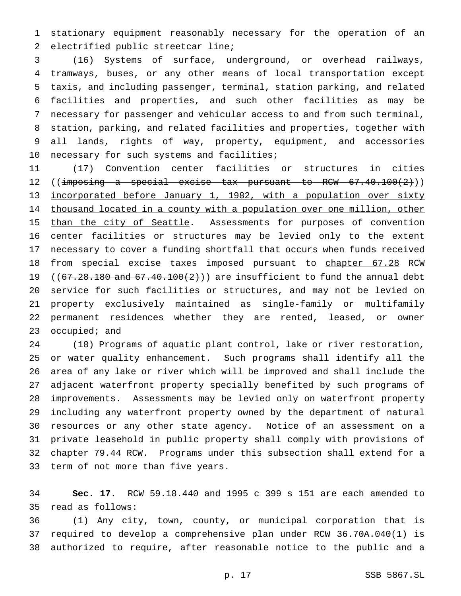stationary equipment reasonably necessary for the operation of an electrified public streetcar line;

 (16) Systems of surface, underground, or overhead railways, tramways, buses, or any other means of local transportation except taxis, and including passenger, terminal, station parking, and related facilities and properties, and such other facilities as may be necessary for passenger and vehicular access to and from such terminal, station, parking, and related facilities and properties, together with all lands, rights of way, property, equipment, and accessories necessary for such systems and facilities;

 (17) Convention center facilities or structures in cities 12 ((imposing a special excise tax pursuant to RCW 67.40.100(2))) 13 incorporated before January 1, 1982, with a population over sixty 14 thousand located in a county with a population over one million, other 15 than the city of Seattle. Assessments for purposes of convention center facilities or structures may be levied only to the extent necessary to cover a funding shortfall that occurs when funds received 18 from special excise taxes imposed pursuant to chapter 67.28 RCW 19 ( $(67.28.180$  and  $67.40.100(2)$ )) are insufficient to fund the annual debt service for such facilities or structures, and may not be levied on property exclusively maintained as single-family or multifamily permanent residences whether they are rented, leased, or owner 23 occupied; and

 (18) Programs of aquatic plant control, lake or river restoration, or water quality enhancement. Such programs shall identify all the area of any lake or river which will be improved and shall include the adjacent waterfront property specially benefited by such programs of improvements. Assessments may be levied only on waterfront property including any waterfront property owned by the department of natural resources or any other state agency. Notice of an assessment on a private leasehold in public property shall comply with provisions of chapter 79.44 RCW. Programs under this subsection shall extend for a term of not more than five years.

 **Sec. 17.** RCW 59.18.440 and 1995 c 399 s 151 are each amended to read as follows:

 (1) Any city, town, county, or municipal corporation that is required to develop a comprehensive plan under RCW 36.70A.040(1) is authorized to require, after reasonable notice to the public and a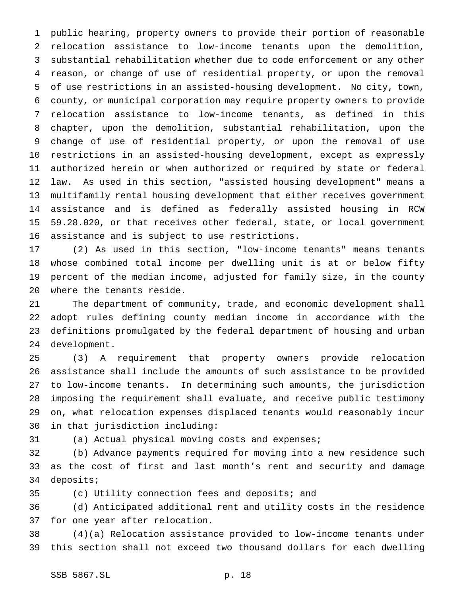public hearing, property owners to provide their portion of reasonable relocation assistance to low-income tenants upon the demolition, substantial rehabilitation whether due to code enforcement or any other reason, or change of use of residential property, or upon the removal of use restrictions in an assisted-housing development. No city, town, county, or municipal corporation may require property owners to provide relocation assistance to low-income tenants, as defined in this chapter, upon the demolition, substantial rehabilitation, upon the change of use of residential property, or upon the removal of use restrictions in an assisted-housing development, except as expressly authorized herein or when authorized or required by state or federal law. As used in this section, "assisted housing development" means a multifamily rental housing development that either receives government assistance and is defined as federally assisted housing in RCW 59.28.020, or that receives other federal, state, or local government assistance and is subject to use restrictions.

 (2) As used in this section, "low-income tenants" means tenants whose combined total income per dwelling unit is at or below fifty percent of the median income, adjusted for family size, in the county where the tenants reside.

 The department of community, trade, and economic development shall adopt rules defining county median income in accordance with the definitions promulgated by the federal department of housing and urban development.

 (3) A requirement that property owners provide relocation assistance shall include the amounts of such assistance to be provided to low-income tenants. In determining such amounts, the jurisdiction imposing the requirement shall evaluate, and receive public testimony on, what relocation expenses displaced tenants would reasonably incur in that jurisdiction including:

(a) Actual physical moving costs and expenses;

 (b) Advance payments required for moving into a new residence such as the cost of first and last month's rent and security and damage deposits;

(c) Utility connection fees and deposits; and

 (d) Anticipated additional rent and utility costs in the residence for one year after relocation.

 (4)(a) Relocation assistance provided to low-income tenants under this section shall not exceed two thousand dollars for each dwelling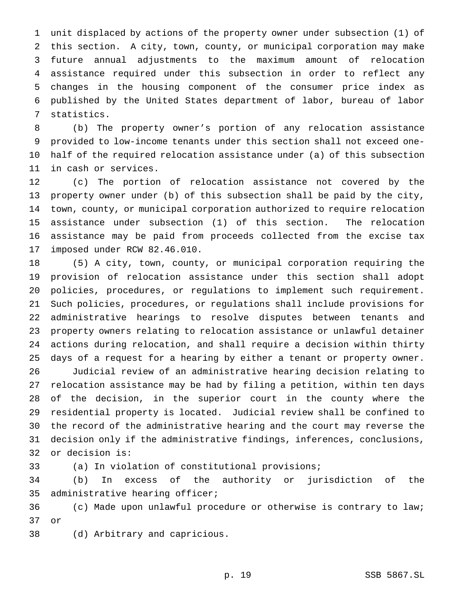unit displaced by actions of the property owner under subsection (1) of this section. A city, town, county, or municipal corporation may make future annual adjustments to the maximum amount of relocation assistance required under this subsection in order to reflect any changes in the housing component of the consumer price index as published by the United States department of labor, bureau of labor statistics.

 (b) The property owner's portion of any relocation assistance provided to low-income tenants under this section shall not exceed one- half of the required relocation assistance under (a) of this subsection in cash or services.

 (c) The portion of relocation assistance not covered by the property owner under (b) of this subsection shall be paid by the city, town, county, or municipal corporation authorized to require relocation assistance under subsection (1) of this section. The relocation assistance may be paid from proceeds collected from the excise tax imposed under RCW 82.46.010.

 (5) A city, town, county, or municipal corporation requiring the provision of relocation assistance under this section shall adopt policies, procedures, or regulations to implement such requirement. Such policies, procedures, or regulations shall include provisions for administrative hearings to resolve disputes between tenants and property owners relating to relocation assistance or unlawful detainer actions during relocation, and shall require a decision within thirty days of a request for a hearing by either a tenant or property owner.

 Judicial review of an administrative hearing decision relating to relocation assistance may be had by filing a petition, within ten days of the decision, in the superior court in the county where the residential property is located. Judicial review shall be confined to the record of the administrative hearing and the court may reverse the decision only if the administrative findings, inferences, conclusions, or decision is:

(a) In violation of constitutional provisions;

 (b) In excess of the authority or jurisdiction of the administrative hearing officer;

 (c) Made upon unlawful procedure or otherwise is contrary to law; or

(d) Arbitrary and capricious.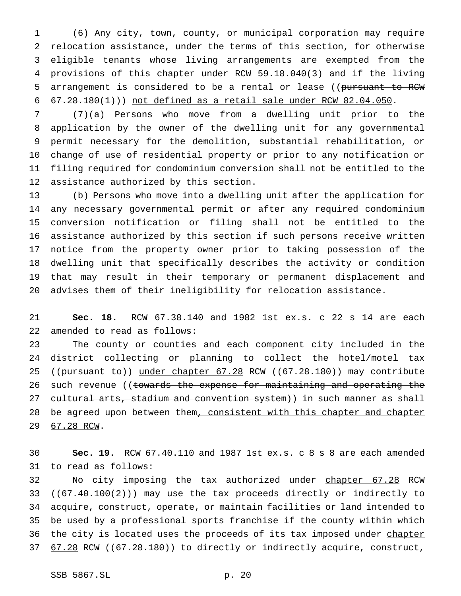(6) Any city, town, county, or municipal corporation may require relocation assistance, under the terms of this section, for otherwise eligible tenants whose living arrangements are exempted from the provisions of this chapter under RCW 59.18.040(3) and if the living 5 arrangement is considered to be a rental or lease ((pursuant to RCW  $67.28.180(1)$ ) not defined as a retail sale under RCW 82.04.050.

 (7)(a) Persons who move from a dwelling unit prior to the application by the owner of the dwelling unit for any governmental permit necessary for the demolition, substantial rehabilitation, or change of use of residential property or prior to any notification or filing required for condominium conversion shall not be entitled to the assistance authorized by this section.

 (b) Persons who move into a dwelling unit after the application for any necessary governmental permit or after any required condominium conversion notification or filing shall not be entitled to the assistance authorized by this section if such persons receive written notice from the property owner prior to taking possession of the dwelling unit that specifically describes the activity or condition that may result in their temporary or permanent displacement and advises them of their ineligibility for relocation assistance.

 **Sec. 18.** RCW 67.38.140 and 1982 1st ex.s. c 22 s 14 are each amended to read as follows:

 The county or counties and each component city included in the district collecting or planning to collect the hotel/motel tax 25 ((pursuant to)) under chapter 67.28 RCW ((67.28.180)) may contribute 26 such revenue ((towards the expense for maintaining and operating the 27 cultural arts, stadium and convention system)) in such manner as shall 28 be agreed upon between them, consistent with this chapter and chapter 67.28 RCW.

 **Sec. 19.** RCW 67.40.110 and 1987 1st ex.s. c 8 s 8 are each amended to read as follows:

32 No city imposing the tax authorized under chapter 67.28 RCW 33 ( $(67.40.100(2))$  may use the tax proceeds directly or indirectly to acquire, construct, operate, or maintain facilities or land intended to be used by a professional sports franchise if the county within which 36 the city is located uses the proceeds of its tax imposed under chapter 37 67.28 RCW ((67.28.180)) to directly or indirectly acquire, construct,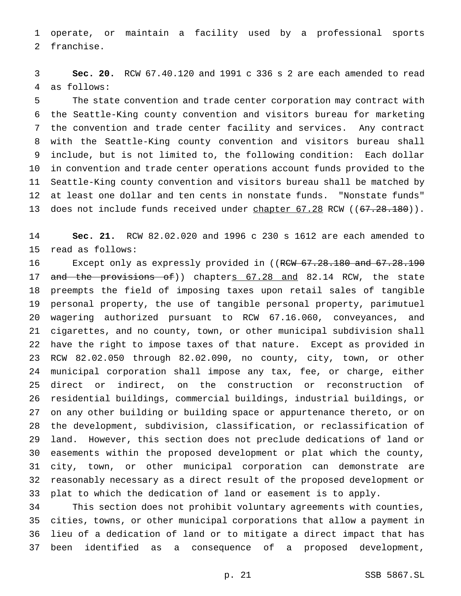operate, or maintain a facility used by a professional sports franchise.

 **Sec. 20.** RCW 67.40.120 and 1991 c 336 s 2 are each amended to read as follows:

 The state convention and trade center corporation may contract with the Seattle-King county convention and visitors bureau for marketing the convention and trade center facility and services. Any contract with the Seattle-King county convention and visitors bureau shall include, but is not limited to, the following condition: Each dollar in convention and trade center operations account funds provided to the Seattle-King county convention and visitors bureau shall be matched by at least one dollar and ten cents in nonstate funds. "Nonstate funds" 13 does not include funds received under chapter 67.28 RCW ((67.28.180)).

 **Sec. 21.** RCW 82.02.020 and 1996 c 230 s 1612 are each amended to read as follows:

16 Except only as expressly provided in ((RCW 67.28.180 and 67.28.190 17 and the provisions of)) chapters 67.28 and 82.14 RCW, the state preempts the field of imposing taxes upon retail sales of tangible personal property, the use of tangible personal property, parimutuel wagering authorized pursuant to RCW 67.16.060, conveyances, and cigarettes, and no county, town, or other municipal subdivision shall have the right to impose taxes of that nature. Except as provided in RCW 82.02.050 through 82.02.090, no county, city, town, or other municipal corporation shall impose any tax, fee, or charge, either direct or indirect, on the construction or reconstruction of residential buildings, commercial buildings, industrial buildings, or on any other building or building space or appurtenance thereto, or on the development, subdivision, classification, or reclassification of land. However, this section does not preclude dedications of land or easements within the proposed development or plat which the county, city, town, or other municipal corporation can demonstrate are reasonably necessary as a direct result of the proposed development or plat to which the dedication of land or easement is to apply.

 This section does not prohibit voluntary agreements with counties, cities, towns, or other municipal corporations that allow a payment in lieu of a dedication of land or to mitigate a direct impact that has been identified as a consequence of a proposed development,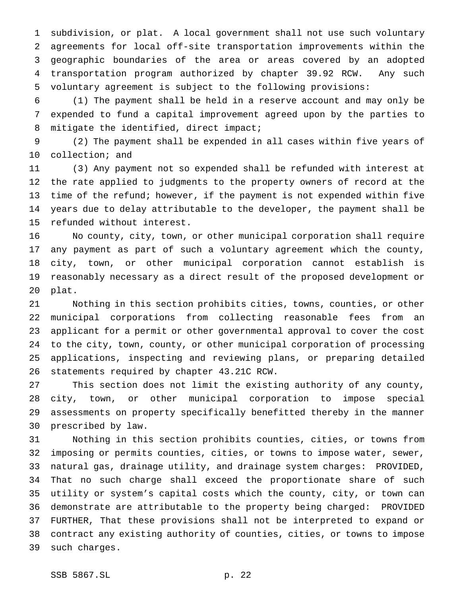subdivision, or plat. A local government shall not use such voluntary agreements for local off-site transportation improvements within the geographic boundaries of the area or areas covered by an adopted transportation program authorized by chapter 39.92 RCW. Any such voluntary agreement is subject to the following provisions:

 (1) The payment shall be held in a reserve account and may only be expended to fund a capital improvement agreed upon by the parties to 8 mitigate the identified, direct impact;

 (2) The payment shall be expended in all cases within five years of collection; and

 (3) Any payment not so expended shall be refunded with interest at the rate applied to judgments to the property owners of record at the time of the refund; however, if the payment is not expended within five years due to delay attributable to the developer, the payment shall be refunded without interest.

 No county, city, town, or other municipal corporation shall require any payment as part of such a voluntary agreement which the county, city, town, or other municipal corporation cannot establish is reasonably necessary as a direct result of the proposed development or plat.

 Nothing in this section prohibits cities, towns, counties, or other municipal corporations from collecting reasonable fees from an applicant for a permit or other governmental approval to cover the cost to the city, town, county, or other municipal corporation of processing applications, inspecting and reviewing plans, or preparing detailed statements required by chapter 43.21C RCW.

 This section does not limit the existing authority of any county, city, town, or other municipal corporation to impose special assessments on property specifically benefitted thereby in the manner prescribed by law.

 Nothing in this section prohibits counties, cities, or towns from imposing or permits counties, cities, or towns to impose water, sewer, natural gas, drainage utility, and drainage system charges: PROVIDED, That no such charge shall exceed the proportionate share of such utility or system's capital costs which the county, city, or town can demonstrate are attributable to the property being charged: PROVIDED FURTHER, That these provisions shall not be interpreted to expand or contract any existing authority of counties, cities, or towns to impose such charges.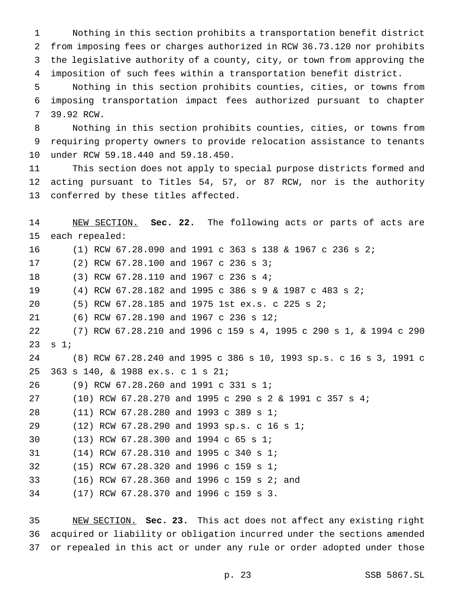Nothing in this section prohibits a transportation benefit district from imposing fees or charges authorized in RCW 36.73.120 nor prohibits the legislative authority of a county, city, or town from approving the imposition of such fees within a transportation benefit district.

 Nothing in this section prohibits counties, cities, or towns from imposing transportation impact fees authorized pursuant to chapter 39.92 RCW.

 Nothing in this section prohibits counties, cities, or towns from requiring property owners to provide relocation assistance to tenants under RCW 59.18.440 and 59.18.450.

 This section does not apply to special purpose districts formed and acting pursuant to Titles 54, 57, or 87 RCW, nor is the authority conferred by these titles affected.

 NEW SECTION. **Sec. 22.** The following acts or parts of acts are each repealed: (1) RCW 67.28.090 and 1991 c 363 s 138 & 1967 c 236 s 2; (2) RCW 67.28.100 and 1967 c 236 s 3; (3) RCW 67.28.110 and 1967 c 236 s 4; (4) RCW 67.28.182 and 1995 c 386s9& 1987 c 483 s 2; (5) RCW 67.28.185 and 1975 1st ex.s. c 225 s 2; (6) RCW 67.28.190 and 1967 c 236 s 12; (7) RCW 67.28.210 and 1996 c 159 s 4, 1995 c 290 s 1, & 1994 c 290 s 1; (8) RCW 67.28.240 and 1995 c 386 s 10, 1993 sp.s. c 16 s 3, 1991 c 363 s 140, & 1988 ex.s. c 1 s 21; (9) RCW 67.28.260 and 1991 c 331 s 1; (10) RCW 67.28.270 and 1995 c 290s2& 1991 c 357 s 4; (11) RCW 67.28.280 and 1993 c 389 s 1; (12) RCW 67.28.290 and 1993 sp.s. c 16 s 1; (13) RCW 67.28.300 and 1994 c 65 s 1; (14) RCW 67.28.310 and 1995 c 340 s 1; (15) RCW 67.28.320 and 1996 c 159 s 1; (16) RCW 67.28.360 and 1996 c 159 s 2; and (17) RCW 67.28.370 and 1996 c 159 s 3.

 NEW SECTION. **Sec. 23.** This act does not affect any existing right acquired or liability or obligation incurred under the sections amended or repealed in this act or under any rule or order adopted under those